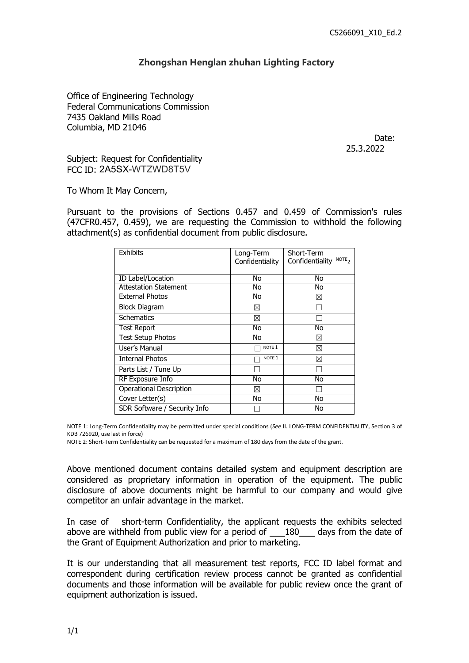## **Zhongshan Henglan zhuhan Lighting Factory**

Zhongshan Henglan zhuhan Lighting Facto<br>Office of Engineering Technology<br>Federal Communications Commission<br>7435 Oakland Mills Road<br>Columbia, MD 21046 CE<br>
Zhongshan Henglan zhuhan Lighting Factory<br>
Office of Engineering Technology<br>
Federal Communications Commission<br>
7435 Oakland Mills Road<br>
Columbia, MD 21046<br>
Subject: Request for Confidentiality Zhongshan Henglan zhuhan Lighting Fac<br>
Office of Engineering Technology<br>
Federal Communications Commission<br>
7435 Oakland Mills Road<br>
Columbia, MD 21046<br>
Subject: Request for Confidentiality<br>
FCC ID: 2A5SX-WT7WD8T5V Zhongshan Henglan zhuhan Lighting<br>Office of Engineering Technology<br>Federal Communications Commission<br>7435 Oakland Mills Road<br>Columbia, MD 21046<br>Subject: Request for Confidentiality<br>FCC ID: 2A5SX-WTZWD8T5V **Zhongshan Henglan zhuhan Lighting Factor**<br>Office of Engineering Technology<br>Federal Communications Commission<br>7435 Oakland Mills Road<br>Columbia, MD 21046<br>Subject: Request for Confidentiality<br>FCC ID: 2A5SX-WTZWD8T5V<br>To Whom Zhongshan Henglan zhuhan Lighting Fa<br>
Office of Engineering Technology<br>
Federal Communications Commission<br>
7435 Oakland Mills Road<br>
Columbia, MD 21046<br>
Subject: Request for Confidentiality<br>
FCC ID: 2A5SX-WTZWD8T5V<br>
To Whom

Date: 25.3.2022

Office of Engineering Technology<br>Federal Communications Commission<br>7435 Oakland Mills Road<br>Columbia, MD 21046<br>Subject: Request for Confidentiality<br>FCC ID: 2A5SX-WTZWD8T5V<br>To Whom It May Concern,<br>Pursuant to the provisions Office of Engineering Technology<br>
Pagara Commission<br>
Pagara Columbia, MD 21046<br>
Date:<br>
Subject: Request for Confidentiality<br>
PCC ID: 2A5SX-WTZWD8T5V<br>
To Whom It May Concern,<br>
Pursuant to the provisions of Sections 0.457 an Federal Communications Commission<br>
7435 Oakland Mills Road<br>
Columbia, MD 21046<br>
Subject: Request for Confidentiality<br>
FCC ID: 2A5SX-WTZWD8T5V<br>
To Whom It May Concern,<br>
Pursuant to the provisions of Sections 0.457 and 0.459 The Taurest Columbia, MD 21046<br>
Columbia, MD 21046<br>
Subject: Request for Confidentiality<br>
FCC ID: 2A5SX-WTZWD8T5V<br>
To Whom It May Concern,<br>
Pursuant to the provisions of Sections 0.457 and 0.459 of Commission's rules<br>
(47C

| <b>Exhibits</b>                | Long-Term<br>Confidentiality | Short-Term<br>Confidentiality NOTE <sub>2</sub> |  |
|--------------------------------|------------------------------|-------------------------------------------------|--|
| ID Label/Location              | <b>No</b>                    | No.                                             |  |
| <b>Attestation Statement</b>   | No                           | <b>No</b>                                       |  |
| <b>External Photos</b>         | No.                          | $\boxtimes$                                     |  |
| <b>Block Diagram</b>           | $\boxtimes$                  | $\Box$                                          |  |
| Schematics                     | $\boxtimes$                  | $\Box$                                          |  |
| <b>Test Report</b>             | <b>No</b>                    | <b>No</b>                                       |  |
| <b>Test Setup Photos</b>       | <b>No</b>                    | $\boxtimes$                                     |  |
| User's Manual                  | $\Box$ Note 1                | $\boxtimes$                                     |  |
| <b>Internal Photos</b>         | $\Box$ NOTE 1                | $\boxtimes$                                     |  |
| Parts List / Tune Up           | $\Box$                       | $\Box$                                          |  |
| <b>RF Exposure Info</b>        | <b>No</b>                    | <b>No</b>                                       |  |
| <b>Operational Description</b> | $\boxtimes$                  | $\Box$                                          |  |
| Cover Letter(s)                | <b>No</b>                    | No                                              |  |
| SDR Software / Security Info   | $\Box$                       | <b>No</b>                                       |  |

Franks List / Tune Up<br>
RF Exposure Info<br>
Operational Description<br>
Cover Letter(s)<br>
SDR Software / Security Info<br>
SDR Software / Security Info<br>
SDR Software / Security Info<br>
NOTE 1: Long-Term Confidentiality may be permitte For a contribute of above documents might be harmful to our company and would give<br>Cover Letter(s)<br>disclosure of above document of a bove document of a bove document of above the harmful to the harmful to our<br>state the ha Cover Letter(s)<br>
Cover Letter(s)<br>
Cover Letter(s)<br>
SDR Software / Security Info<br>
NOTE 1: Long-Term Confidentiality may be permitted under special conditions (See II. LONG-TERM CONFIDENTIALITY, Section<br>
NOTE 2: Short-Term C IN COTE 1: Long-Term Confidentiality may be permitted under special conditions (see II. LONG-TERM CONFIDENTIALITY, Section 3 of<br>
KDB 726920, use last in force)<br>
NOTE 2: Short-Term Confidentiality can be requested for a max NOTE 1: Long-Term Confidentiality may be permitted under special conditions (See II. LONG-TERM CONFIDENTIALITY, Section 3 of<br>KDB 726920, uselast in force)<br>NOTE 2: Short-Term Confidentiality can be requested for a maximum o NOTE 1: Long-Term Confidentiality may be permitted under special conditions (See II. LONG-TERM CONFIDENTIALITY, Section 3 of<br>KDB 25250, use last in force)<br>NOTE 2: Short-Term Confidentiality can be requested for a maximum o Nove mentioned document contains detailed system and equipment description are considered as proprietary information in operation of the equipment. The public disclosure of above documents might be harmful to our company a Above mentioned document contains detailed system and equipment description are considered as proprietary information in operation of the equipment. The public disclosure of above documents might be harmful to our company Above mentioned document contains detailed system and equipment description are considered as proprietary information in operation of the equipment. The public disclosure of above documents might be harmful to our company

considered as proprietary information in operation of the equipmendisclosure of above documents might be harmful to our company a competitor an unfair advantage in the market.<br>In case of short-term Confidentiality, the app